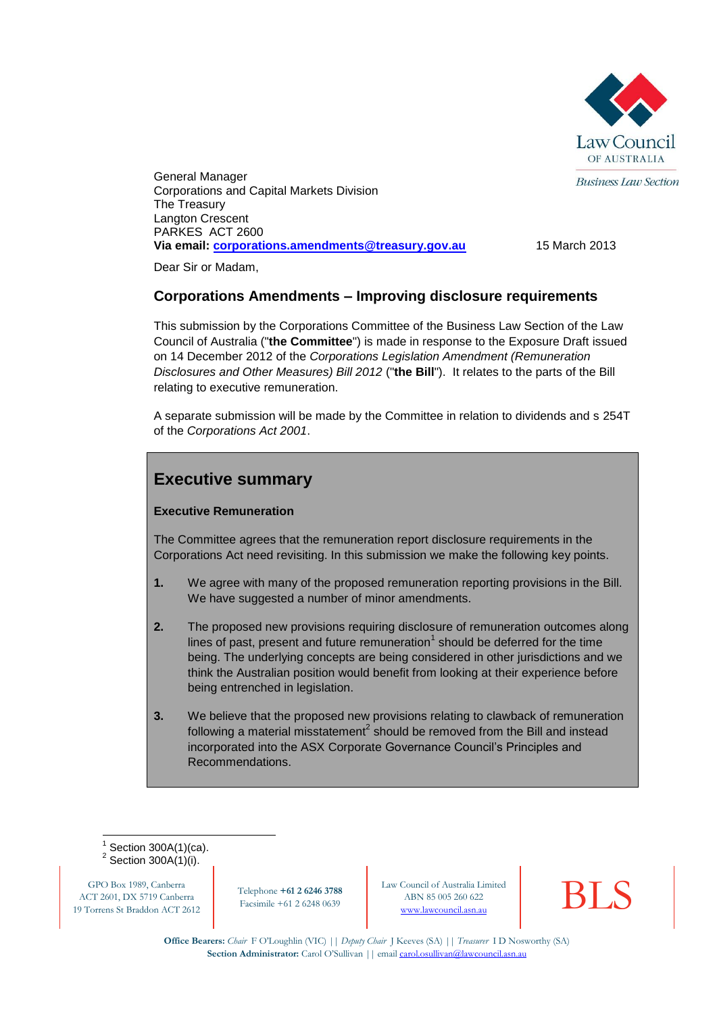

**Business Law Section** 

General Manager Corporations and Capital Markets Division The Treasury Langton Crescent PARKES ACT 2600 **Via email: [corporations.amendments@treasury.gov.au](mailto:corporations.amendments@treasury.gov.au)** 15 March 2013

Dear Sir or Madam,

## **Corporations Amendments – Improving disclosure requirements**

This submission by the Corporations Committee of the Business Law Section of the Law Council of Australia ("**the Committee**") is made in response to the Exposure Draft issued on 14 December 2012 of the *Corporations Legislation Amendment (Remuneration Disclosures and Other Measures) Bill 2012* ("**the Bill**"). It relates to the parts of the Bill relating to executive remuneration.

A separate submission will be made by the Committee in relation to dividends and s 254T of the *Corporations Act 2001*.

# **Executive summary**

#### **Executive Remuneration**

The Committee agrees that the remuneration report disclosure requirements in the Corporations Act need revisiting. In this submission we make the following key points.

- **1.** We agree with many of the proposed remuneration reporting provisions in the Bill. We have suggested a number of minor amendments.
- **2.** The proposed new provisions requiring disclosure of remuneration outcomes along lines of past, present and future remuneration<sup>1</sup> should be deferred for the time being. The underlying concepts are being considered in other jurisdictions and we think the Australian position would benefit from looking at their experience before being entrenched in legislation.
- **3.** We believe that the proposed new provisions relating to clawback of remuneration following a material misstatement<sup>2</sup> should be removed from the Bill and instead incorporated into the ASX Corporate Governance Council's Principles and Recommendations.

1 1 Section 300A(1)(ca).  $2$  Section 300A(1)(i).

GPO Box 1989, Canberra ACT 2601, DX 5719 Canberra 19 Torrens St Braddon ACT 2612

Telephone **+61 2 6246 3788** Facsimile +61 2 6248 0639

Law Council of Australia Limited<br>
ABN 85 005 260 622<br>
www.lawcouncil.asn.au ABN 85 005 260 622

**Office Bearers:** *Chair* F O'Loughlin (VIC) || *Deputy Chair* J Keeves (SA) || *Treasurer* I D Nosworthy (SA) **Section Administrator:** Carol O'Sullivan || email carol.osullivan@lawcouncil.asn.au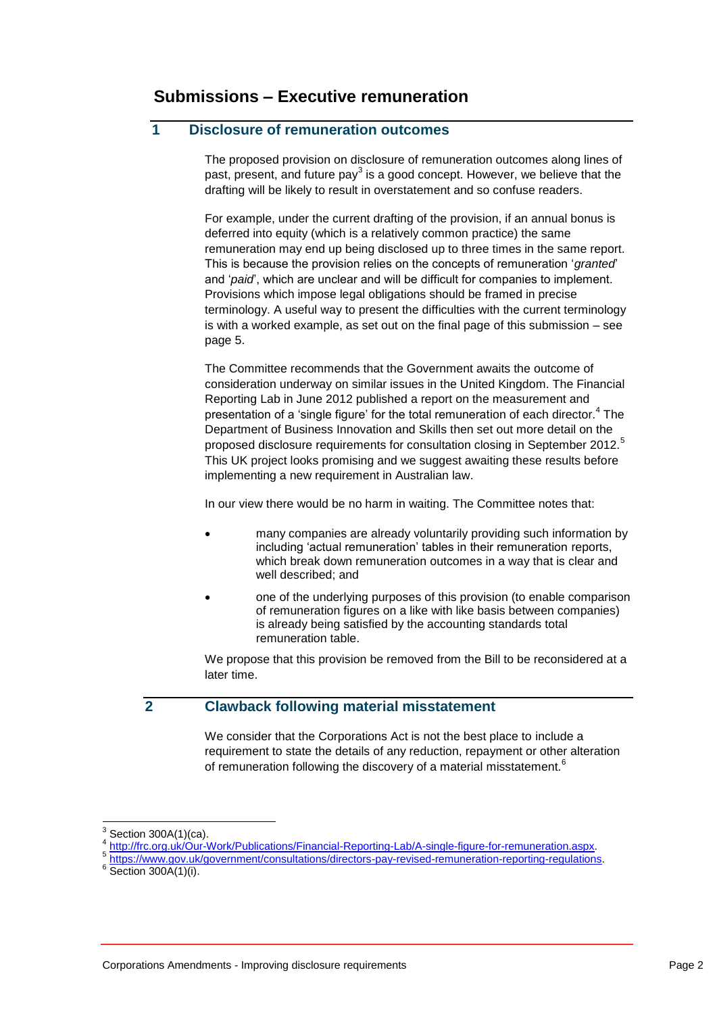## **1 Disclosure of remuneration outcomes**

The proposed provision on disclosure of remuneration outcomes along lines of past, present, and future pay<sup>3</sup> is a good concept. However, we believe that the drafting will be likely to result in overstatement and so confuse readers.

For example, under the current drafting of the provision, if an annual bonus is deferred into equity (which is a relatively common practice) the same remuneration may end up being disclosed up to three times in the same report. This is because the provision relies on the concepts of remuneration '*granted*' and '*paid*', which are unclear and will be difficult for companies to implement. Provisions which impose legal obligations should be framed in precise terminology. A useful way to present the difficulties with the current terminology is with a worked example, as set out on the final page of this submission – see page 5.

The Committee recommends that the Government awaits the outcome of consideration underway on similar issues in the United Kingdom. The Financial Reporting Lab in June 2012 published a report on the measurement and presentation of a 'single figure' for the total remuneration of each director.<sup>4</sup> The Department of Business Innovation and Skills then set out more detail on the proposed disclosure requirements for consultation closing in September 2012.<sup>5</sup> This UK project looks promising and we suggest awaiting these results before implementing a new requirement in Australian law.

In our view there would be no harm in waiting. The Committee notes that:

- many companies are already voluntarily providing such information by including 'actual remuneration' tables in their remuneration reports, which break down remuneration outcomes in a way that is clear and well described; and
- one of the underlying purposes of this provision (to enable comparison of remuneration figures on a like with like basis between companies) is already being satisfied by the accounting standards total remuneration table.

We propose that this provision be removed from the Bill to be reconsidered at a later time.

## **2 Clawback following material misstatement**

We consider that the Corporations Act is not the best place to include a requirement to state the details of any reduction, repayment or other alteration of remuneration following the discovery of a material misstatement.<sup>6</sup>

-

<sup>3</sup> Section 300A(1)(ca).

<sup>4</sup> [http://frc.org.uk/Our-Work/Publications/Financial-Reporting-Lab/A-single-figure-for-remuneration.aspx.](http://frc.org.uk/Our-Work/Publications/Financial-Reporting-Lab/A-single-figure-for-remuneration.aspx) 5

[https://www.gov.uk/government/consultations/directors-pay-revised-remuneration-reporting-regulations.](https://www.gov.uk/government/consultations/directors-pay-revised-remuneration-reporting-regulations)

 $6 \overline{\text{Section } 300\text{A}(1)(i)}$ .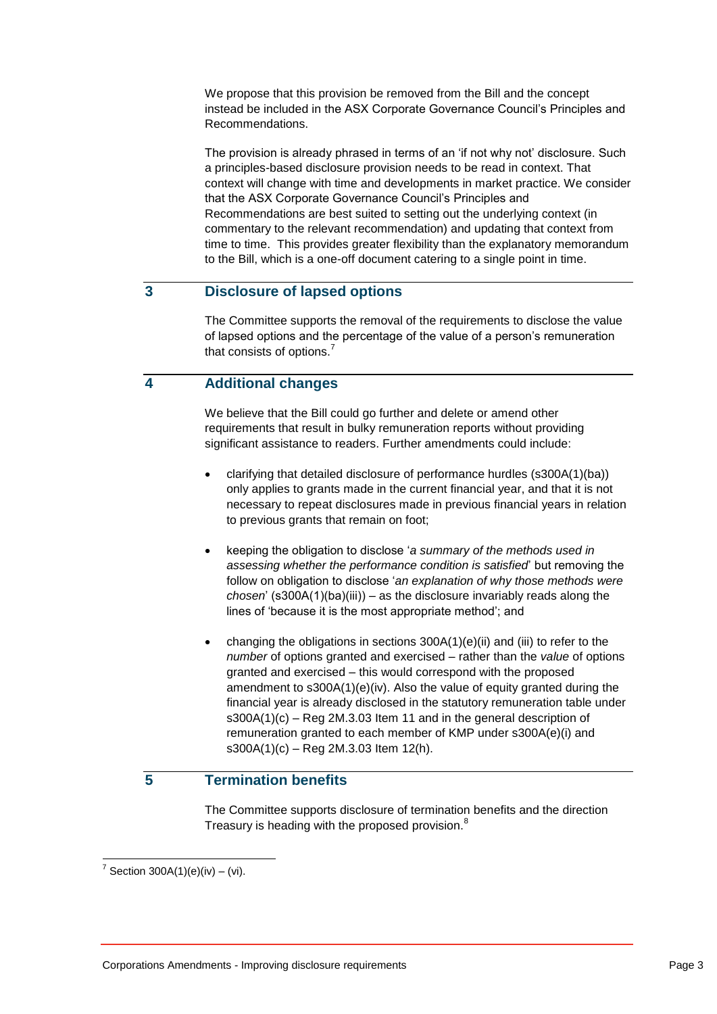We propose that this provision be removed from the Bill and the concept instead be included in the ASX Corporate Governance Council's Principles and Recommendations.

The provision is already phrased in terms of an 'if not why not' disclosure. Such a principles-based disclosure provision needs to be read in context. That context will change with time and developments in market practice. We consider that the ASX Corporate Governance Council's Principles and Recommendations are best suited to setting out the underlying context (in commentary to the relevant recommendation) and updating that context from time to time. This provides greater flexibility than the explanatory memorandum to the Bill, which is a one-off document catering to a single point in time.

## **3 Disclosure of lapsed options**

The Committee supports the removal of the requirements to disclose the value of lapsed options and the percentage of the value of a person's remuneration that consists of options.<sup>7</sup>

## **4 Additional changes**

We believe that the Bill could go further and delete or amend other requirements that result in bulky remuneration reports without providing significant assistance to readers. Further amendments could include:

- clarifying that detailed disclosure of performance hurdles (s300A(1)(ba)) only applies to grants made in the current financial year, and that it is not necessary to repeat disclosures made in previous financial years in relation to previous grants that remain on foot;
- keeping the obligation to disclose '*a summary of the methods used in assessing whether the performance condition is satisfied*' but removing the follow on obligation to disclose '*an explanation of why those methods were chosen*' (s300A(1)(ba)(iii)) – as the disclosure invariably reads along the lines of 'because it is the most appropriate method'; and
- changing the obligations in sections 300A(1)(e)(ii) and (iii) to refer to the *number* of options granted and exercised – rather than the *value* of options granted and exercised – this would correspond with the proposed amendment to s300A(1)(e)(iv). Also the value of equity granted during the financial year is already disclosed in the statutory remuneration table under s300A(1)(c) – Reg 2M.3.03 Item 11 and in the general description of remuneration granted to each member of KMP under s300A(e)(i) and  $s300A(1)(c) - Reg 2M.3.03$  Item 12(h).

## **5 Termination benefits**

The Committee supports disclosure of termination benefits and the direction Treasury is heading with the proposed provision.<sup>8</sup>

 7 Section 300A(1)(e)(iv) – (vi).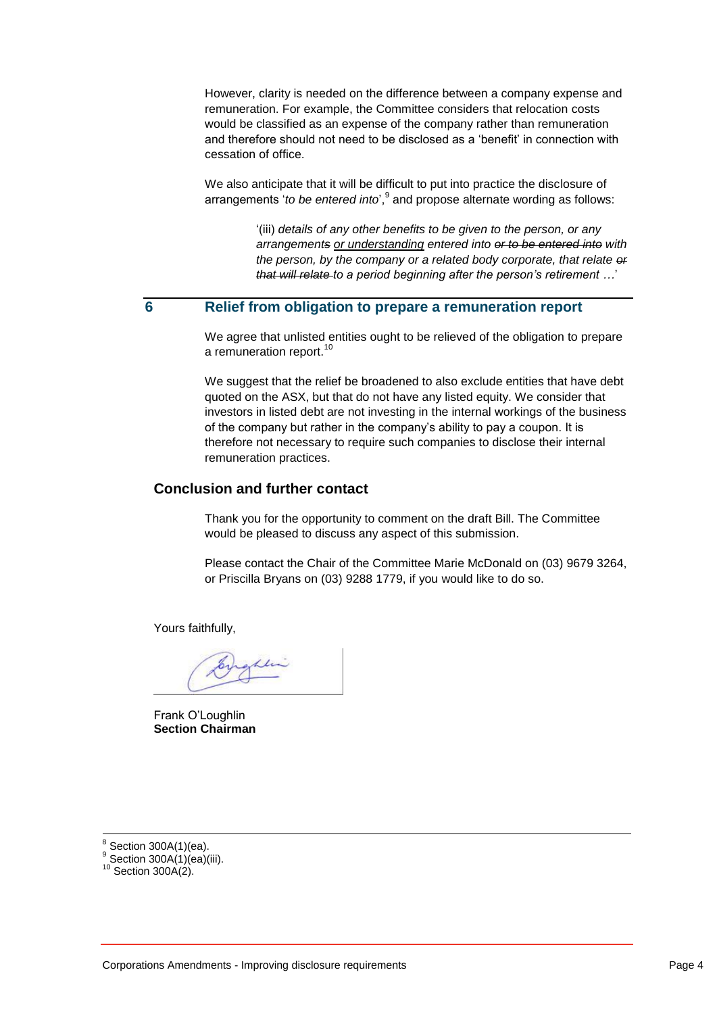However, clarity is needed on the difference between a company expense and remuneration. For example, the Committee considers that relocation costs would be classified as an expense of the company rather than remuneration and therefore should not need to be disclosed as a 'benefit' in connection with cessation of office.

We also anticipate that it will be difficult to put into practice the disclosure of arrangements '*to be entered into*', <sup>9</sup> and propose alternate wording as follows:

> '(iii) *details of any other benefits to be given to the person, or any arrangements or understanding entered into or to be entered into with the person, by the company or a related body corporate, that relate or that will relate to a period beginning after the person's retirement …*'

### **6 Relief from obligation to prepare a remuneration report**

We agree that unlisted entities ought to be relieved of the obligation to prepare a remuneration report.<sup>10</sup>

We suggest that the relief be broadened to also exclude entities that have debt quoted on the ASX, but that do not have any listed equity. We consider that investors in listed debt are not investing in the internal workings of the business of the company but rather in the company's ability to pay a coupon. It is therefore not necessary to require such companies to disclose their internal remuneration practices.

#### **Conclusion and further contact**

Thank you for the opportunity to comment on the draft Bill. The Committee would be pleased to discuss any aspect of this submission.

Please contact the Chair of the Committee Marie McDonald on (03) 9679 3264, or Priscilla Bryans on (03) 9288 1779, if you would like to do so.

Yours faithfully,

 $11-$ 

Frank O'Loughlin **Section Chairman**

 $\overline{a}$  $8$  Section 300A(1)(ea).

 $\frac{9}{5}$  Section 300A(1)(ea)(iii).

 $10$  Section 300A(2).